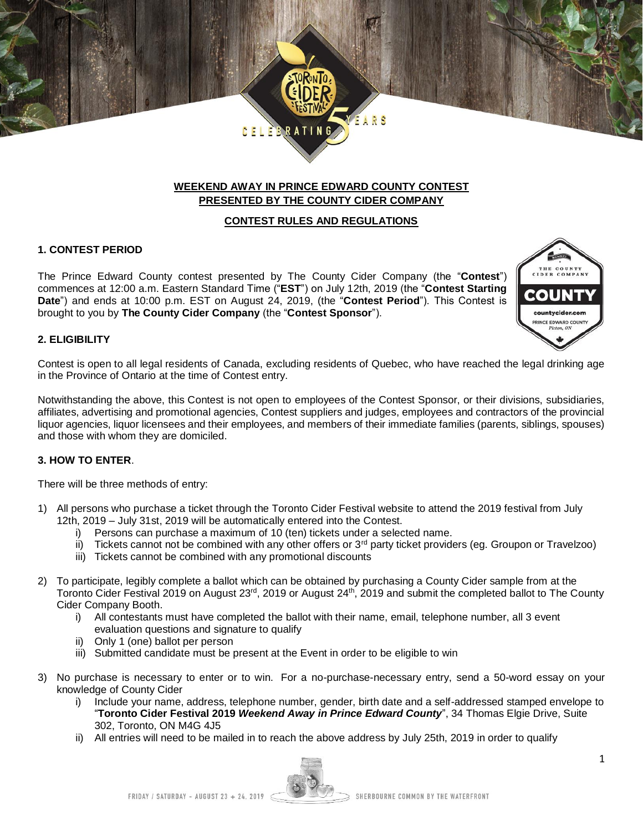# **WEEKEND AWAY IN PRINCE EDWARD COUNTY CONTEST PRESENTED BY THE COUNTY CIDER COMPANY**

ARS

# **CONTEST RULES AND REGULATIONS**

## **1. CONTEST PERIOD**

The Prince Edward County contest presented by The County Cider Company (the "**Contest**") commences at 12:00 a.m. Eastern Standard Time ("**EST**") on July 12th, 2019 (the "**Contest Starting Date**") and ends at 10:00 p.m. EST on August 24, 2019, (the "**Contest Period**"). This Contest is brought to you by **The County Cider Company** (the "**Contest Sponsor**").

**CELEBRAT** 



## **2. ELIGIBILITY**

Contest is open to all legal residents of Canada, excluding residents of Quebec, who have reached the legal drinking age in the Province of Ontario at the time of Contest entry.

Notwithstanding the above, this Contest is not open to employees of the Contest Sponsor, or their divisions, subsidiaries, affiliates, advertising and promotional agencies, Contest suppliers and judges, employees and contractors of the provincial liquor agencies, liquor licensees and their employees, and members of their immediate families (parents, siblings, spouses) and those with whom they are domiciled.

## **3. HOW TO ENTER**.

There will be three methods of entry:

- 1) All persons who purchase a ticket through the Toronto Cider Festival website to attend the 2019 festival from July 12th, 2019 – July 31st, 2019 will be automatically entered into the Contest.
	- i) Persons can purchase a maximum of 10 (ten) tickets under a selected name.
	- ii) Tickets cannot not be combined with any other offers or  $3<sup>rd</sup>$  party ticket providers (eg. Groupon or Travelzoo)
	- iii) Tickets cannot be combined with any promotional discounts
- 2) To participate, legibly complete a ballot which can be obtained by purchasing a County Cider sample from at the Toronto Cider Festival 2019 on August 23<sup>rd</sup>, 2019 or August 24<sup>th</sup>, 2019 and submit the completed ballot to The County Cider Company Booth.
	- i) All contestants must have completed the ballot with their name, email, telephone number, all 3 event evaluation questions and signature to qualify
	- ii) Only 1 (one) ballot per person
	- iii) Submitted candidate must be present at the Event in order to be eligible to win
- 3) No purchase is necessary to enter or to win. For a no-purchase-necessary entry, send a 50-word essay on your knowledge of County Cider
	- i) Include your name, address, telephone number, gender, birth date and a self-addressed stamped envelope to "**Toronto Cider Festival 2019** *Weekend Away in Prince Edward County*", 34 Thomas Elgie Drive, Suite 302, Toronto, ON M4G 4J5
	- ii) All entries will need to be mailed in to reach the above address by July 25th, 2019 in order to qualify

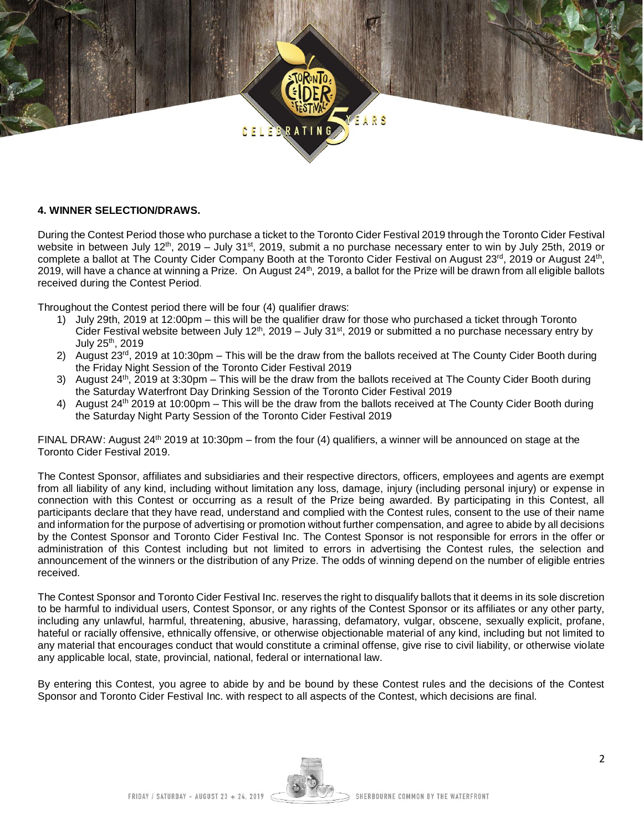

### **4. WINNER SELECTION/DRAWS.**

During the Contest Period those who purchase a ticket to the Toronto Cider Festival 2019 through the Toronto Cider Festival website in between July 12<sup>th</sup>, 2019 – July 31<sup>st</sup>, 2019, submit a no purchase necessary enter to win by July 25th, 2019 or complete a ballot at The County Cider Company Booth at the Toronto Cider Festival on August 23<sup>rd</sup>, 2019 or August 24<sup>th</sup>, 2019, will have a chance at winning a Prize. On August 24<sup>th</sup>, 2019, a ballot for the Prize will be drawn from all eligible ballots received during the Contest Period.

Throughout the Contest period there will be four (4) qualifier draws:

- 1) July 29th, 2019 at 12:00pm this will be the qualifier draw for those who purchased a ticket through Toronto Cider Festival website between July 12<sup>th</sup>, 2019 – July 31<sup>st</sup>, 2019 or submitted a no purchase necessary entry by July 25th, 2019
- 2) August 23<sup>rd</sup>, 2019 at 10:30pm This will be the draw from the ballots received at The County Cider Booth during the Friday Night Session of the Toronto Cider Festival 2019
- 3) August 24<sup>th</sup>, 2019 at 3:30pm This will be the draw from the ballots received at The County Cider Booth during the Saturday Waterfront Day Drinking Session of the Toronto Cider Festival 2019
- 4) August 24<sup>th</sup> 2019 at 10:00pm This will be the draw from the ballots received at The County Cider Booth during the Saturday Night Party Session of the Toronto Cider Festival 2019

FINAL DRAW: August 24<sup>th</sup> 2019 at 10:30pm – from the four (4) qualifiers, a winner will be announced on stage at the Toronto Cider Festival 2019.

The Contest Sponsor, affiliates and subsidiaries and their respective directors, officers, employees and agents are exempt from all liability of any kind, including without limitation any loss, damage, injury (including personal injury) or expense in connection with this Contest or occurring as a result of the Prize being awarded. By participating in this Contest, all participants declare that they have read, understand and complied with the Contest rules, consent to the use of their name and information for the purpose of advertising or promotion without further compensation, and agree to abide by all decisions by the Contest Sponsor and Toronto Cider Festival Inc. The Contest Sponsor is not responsible for errors in the offer or administration of this Contest including but not limited to errors in advertising the Contest rules, the selection and announcement of the winners or the distribution of any Prize. The odds of winning depend on the number of eligible entries received.

The Contest Sponsor and Toronto Cider Festival Inc. reserves the right to disqualify ballots that it deems in its sole discretion to be harmful to individual users, Contest Sponsor, or any rights of the Contest Sponsor or its affiliates or any other party, including any unlawful, harmful, threatening, abusive, harassing, defamatory, vulgar, obscene, sexually explicit, profane, hateful or racially offensive, ethnically offensive, or otherwise objectionable material of any kind, including but not limited to any material that encourages conduct that would constitute a criminal offense, give rise to civil liability, or otherwise violate any applicable local, state, provincial, national, federal or international law.

By entering this Contest, you agree to abide by and be bound by these Contest rules and the decisions of the Contest Sponsor and Toronto Cider Festival Inc. with respect to all aspects of the Contest, which decisions are final.

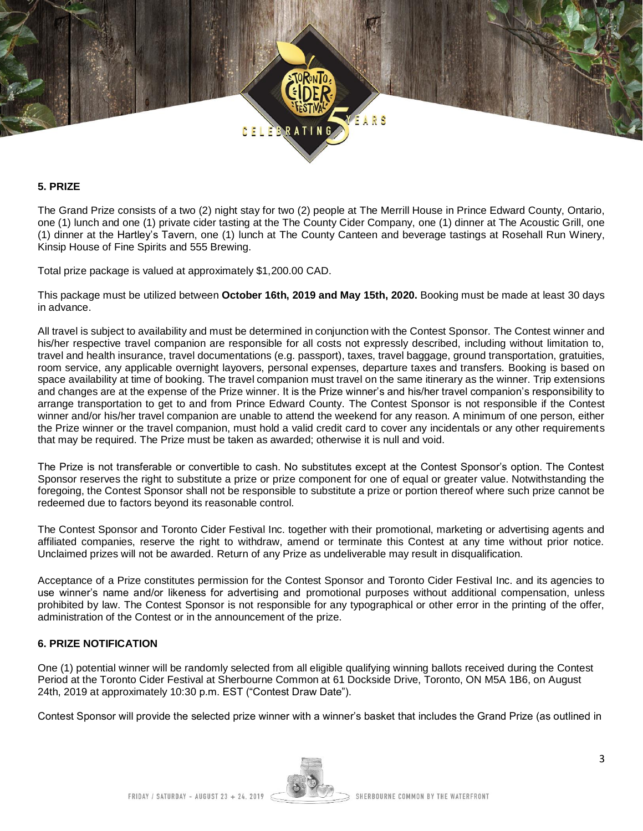

#### **5. PRIZE**

The Grand Prize consists of a two (2) night stay for two (2) people at The Merrill House in Prince Edward County, Ontario, one (1) lunch and one (1) private cider tasting at the The County Cider Company, one (1) dinner at The Acoustic Grill, one (1) dinner at the Hartley's Tavern, one (1) lunch at The County Canteen and beverage tastings at Rosehall Run Winery, Kinsip House of Fine Spirits and 555 Brewing.

Total prize package is valued at approximately \$1,200.00 CAD.

This package must be utilized between **October 16th, 2019 and May 15th, 2020.** Booking must be made at least 30 days in advance.

All travel is subject to availability and must be determined in conjunction with the Contest Sponsor. The Contest winner and his/her respective travel companion are responsible for all costs not expressly described, including without limitation to, travel and health insurance, travel documentations (e.g. passport), taxes, travel baggage, ground transportation, gratuities, room service, any applicable overnight layovers, personal expenses, departure taxes and transfers. Booking is based on space availability at time of booking. The travel companion must travel on the same itinerary as the winner. Trip extensions and changes are at the expense of the Prize winner. It is the Prize winner's and his/her travel companion's responsibility to arrange transportation to get to and from Prince Edward County. The Contest Sponsor is not responsible if the Contest winner and/or his/her travel companion are unable to attend the weekend for any reason. A minimum of one person, either the Prize winner or the travel companion, must hold a valid credit card to cover any incidentals or any other requirements that may be required. The Prize must be taken as awarded; otherwise it is null and void.

The Prize is not transferable or convertible to cash. No substitutes except at the Contest Sponsor's option. The Contest Sponsor reserves the right to substitute a prize or prize component for one of equal or greater value. Notwithstanding the foregoing, the Contest Sponsor shall not be responsible to substitute a prize or portion thereof where such prize cannot be redeemed due to factors beyond its reasonable control.

The Contest Sponsor and Toronto Cider Festival Inc. together with their promotional, marketing or advertising agents and affiliated companies, reserve the right to withdraw, amend or terminate this Contest at any time without prior notice. Unclaimed prizes will not be awarded. Return of any Prize as undeliverable may result in disqualification.

Acceptance of a Prize constitutes permission for the Contest Sponsor and Toronto Cider Festival Inc. and its agencies to use winner's name and/or likeness for advertising and promotional purposes without additional compensation, unless prohibited by law. The Contest Sponsor is not responsible for any typographical or other error in the printing of the offer, administration of the Contest or in the announcement of the prize.

## **6. PRIZE NOTIFICATION**

One (1) potential winner will be randomly selected from all eligible qualifying winning ballots received during the Contest Period at the Toronto Cider Festival at Sherbourne Common at 61 Dockside Drive, Toronto, ON M5A 1B6, on August 24th, 2019 at approximately 10:30 p.m. EST ("Contest Draw Date").

Contest Sponsor will provide the selected prize winner with a winner's basket that includes the Grand Prize (as outlined in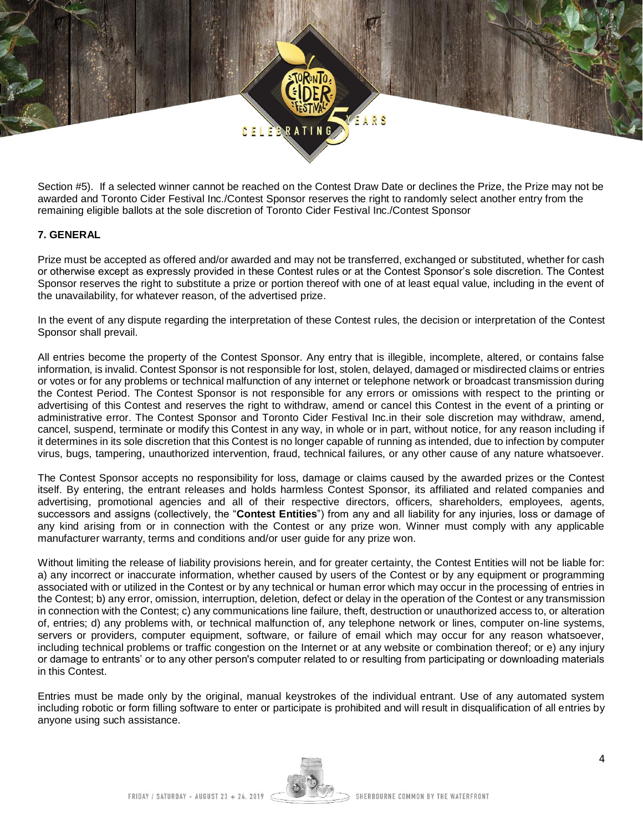

Section #5). If a selected winner cannot be reached on the Contest Draw Date or declines the Prize, the Prize may not be awarded and Toronto Cider Festival Inc./Contest Sponsor reserves the right to randomly select another entry from the remaining eligible ballots at the sole discretion of Toronto Cider Festival Inc./Contest Sponsor

## **7. GENERAL**

Prize must be accepted as offered and/or awarded and may not be transferred, exchanged or substituted, whether for cash or otherwise except as expressly provided in these Contest rules or at the Contest Sponsor's sole discretion. The Contest Sponsor reserves the right to substitute a prize or portion thereof with one of at least equal value, including in the event of the unavailability, for whatever reason, of the advertised prize.

In the event of any dispute regarding the interpretation of these Contest rules, the decision or interpretation of the Contest Sponsor shall prevail.

All entries become the property of the Contest Sponsor. Any entry that is illegible, incomplete, altered, or contains false information, is invalid. Contest Sponsor is not responsible for lost, stolen, delayed, damaged or misdirected claims or entries or votes or for any problems or technical malfunction of any internet or telephone network or broadcast transmission during the Contest Period. The Contest Sponsor is not responsible for any errors or omissions with respect to the printing or advertising of this Contest and reserves the right to withdraw, amend or cancel this Contest in the event of a printing or administrative error. The Contest Sponsor and Toronto Cider Festival Inc.in their sole discretion may withdraw, amend, cancel, suspend, terminate or modify this Contest in any way, in whole or in part, without notice, for any reason including if it determines in its sole discretion that this Contest is no longer capable of running as intended, due to infection by computer virus, bugs, tampering, unauthorized intervention, fraud, technical failures, or any other cause of any nature whatsoever.

The Contest Sponsor accepts no responsibility for loss, damage or claims caused by the awarded prizes or the Contest itself. By entering, the entrant releases and holds harmless Contest Sponsor, its affiliated and related companies and advertising, promotional agencies and all of their respective directors, officers, shareholders, employees, agents, successors and assigns (collectively, the "**Contest Entities**") from any and all liability for any injuries, loss or damage of any kind arising from or in connection with the Contest or any prize won. Winner must comply with any applicable manufacturer warranty, terms and conditions and/or user guide for any prize won.

Without limiting the release of liability provisions herein, and for greater certainty, the Contest Entities will not be liable for: a) any incorrect or inaccurate information, whether caused by users of the Contest or by any equipment or programming associated with or utilized in the Contest or by any technical or human error which may occur in the processing of entries in the Contest; b) any error, omission, interruption, deletion, defect or delay in the operation of the Contest or any transmission in connection with the Contest; c) any communications line failure, theft, destruction or unauthorized access to, or alteration of, entries; d) any problems with, or technical malfunction of, any telephone network or lines, computer on-line systems, servers or providers, computer equipment, software, or failure of email which may occur for any reason whatsoever, including technical problems or traffic congestion on the Internet or at any website or combination thereof; or e) any injury or damage to entrants' or to any other person's computer related to or resulting from participating or downloading materials in this Contest.

Entries must be made only by the original, manual keystrokes of the individual entrant. Use of any automated system including robotic or form filling software to enter or participate is prohibited and will result in disqualification of all entries by anyone using such assistance.